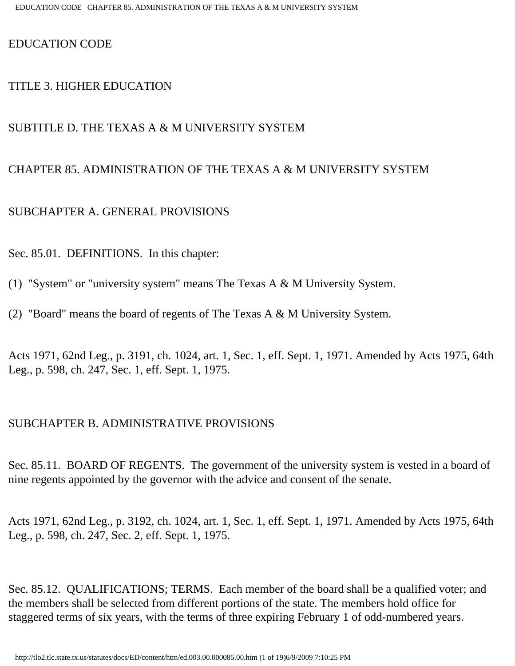## EDUCATION CODE

## TITLE 3. HIGHER EDUCATION

## SUBTITLE D. THE TEXAS A & M UNIVERSITY SYSTEM

## CHAPTER 85. ADMINISTRATION OF THE TEXAS A & M UNIVERSITY SYSTEM

## SUBCHAPTER A. GENERAL PROVISIONS

Sec. 85.01. DEFINITIONS. In this chapter:

- (1) "System" or "university system" means The Texas A & M University System.
- (2) "Board" means the board of regents of The Texas A & M University System.

Acts 1971, 62nd Leg., p. 3191, ch. 1024, art. 1, Sec. 1, eff. Sept. 1, 1971. Amended by Acts 1975, 64th Leg., p. 598, ch. 247, Sec. 1, eff. Sept. 1, 1975.

## SUBCHAPTER B. ADMINISTRATIVE PROVISIONS

Sec. 85.11. BOARD OF REGENTS. The government of the university system is vested in a board of nine regents appointed by the governor with the advice and consent of the senate.

Acts 1971, 62nd Leg., p. 3192, ch. 1024, art. 1, Sec. 1, eff. Sept. 1, 1971. Amended by Acts 1975, 64th Leg., p. 598, ch. 247, Sec. 2, eff. Sept. 1, 1975.

Sec. 85.12. QUALIFICATIONS; TERMS. Each member of the board shall be a qualified voter; and the members shall be selected from different portions of the state. The members hold office for staggered terms of six years, with the terms of three expiring February 1 of odd-numbered years.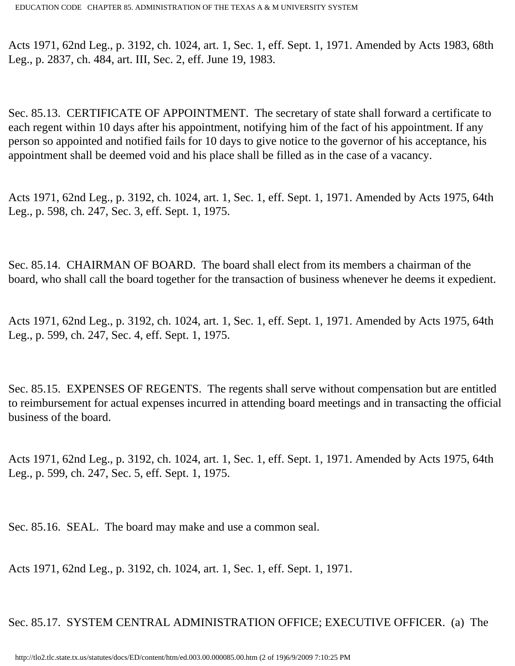Acts 1971, 62nd Leg., p. 3192, ch. 1024, art. 1, Sec. 1, eff. Sept. 1, 1971. Amended by Acts 1983, 68th Leg., p. 2837, ch. 484, art. III, Sec. 2, eff. June 19, 1983.

Sec. 85.13. CERTIFICATE OF APPOINTMENT. The secretary of state shall forward a certificate to each regent within 10 days after his appointment, notifying him of the fact of his appointment. If any person so appointed and notified fails for 10 days to give notice to the governor of his acceptance, his appointment shall be deemed void and his place shall be filled as in the case of a vacancy.

Acts 1971, 62nd Leg., p. 3192, ch. 1024, art. 1, Sec. 1, eff. Sept. 1, 1971. Amended by Acts 1975, 64th Leg., p. 598, ch. 247, Sec. 3, eff. Sept. 1, 1975.

Sec. 85.14. CHAIRMAN OF BOARD. The board shall elect from its members a chairman of the board, who shall call the board together for the transaction of business whenever he deems it expedient.

Acts 1971, 62nd Leg., p. 3192, ch. 1024, art. 1, Sec. 1, eff. Sept. 1, 1971. Amended by Acts 1975, 64th Leg., p. 599, ch. 247, Sec. 4, eff. Sept. 1, 1975.

Sec. 85.15. EXPENSES OF REGENTS. The regents shall serve without compensation but are entitled to reimbursement for actual expenses incurred in attending board meetings and in transacting the official business of the board.

Acts 1971, 62nd Leg., p. 3192, ch. 1024, art. 1, Sec. 1, eff. Sept. 1, 1971. Amended by Acts 1975, 64th Leg., p. 599, ch. 247, Sec. 5, eff. Sept. 1, 1975.

Sec. 85.16. SEAL. The board may make and use a common seal.

Acts 1971, 62nd Leg., p. 3192, ch. 1024, art. 1, Sec. 1, eff. Sept. 1, 1971.

Sec. 85.17. SYSTEM CENTRAL ADMINISTRATION OFFICE; EXECUTIVE OFFICER. (a) The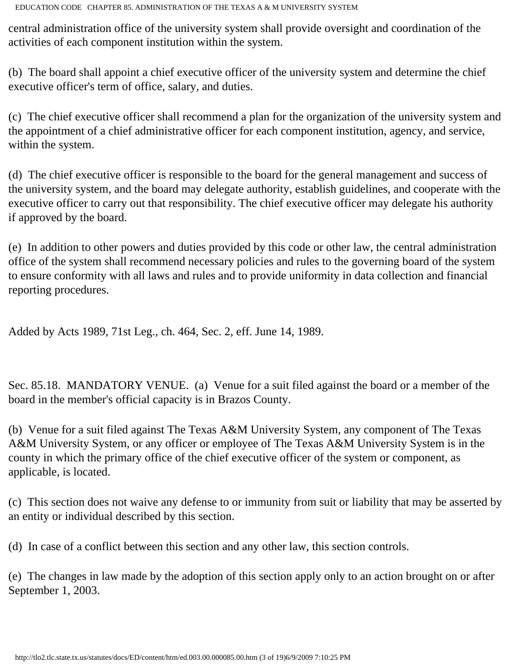central administration office of the university system shall provide oversight and coordination of the activities of each component institution within the system.

(b) The board shall appoint a chief executive officer of the university system and determine the chief executive officer's term of office, salary, and duties.

(c) The chief executive officer shall recommend a plan for the organization of the university system and the appointment of a chief administrative officer for each component institution, agency, and service, within the system.

(d) The chief executive officer is responsible to the board for the general management and success of the university system, and the board may delegate authority, establish guidelines, and cooperate with the executive officer to carry out that responsibility. The chief executive officer may delegate his authority if approved by the board.

(e) In addition to other powers and duties provided by this code or other law, the central administration office of the system shall recommend necessary policies and rules to the governing board of the system to ensure conformity with all laws and rules and to provide uniformity in data collection and financial reporting procedures.

Added by Acts 1989, 71st Leg., ch. 464, Sec. 2, eff. June 14, 1989.

Sec. 85.18. MANDATORY VENUE. (a) Venue for a suit filed against the board or a member of the board in the member's official capacity is in Brazos County.

(b) Venue for a suit filed against The Texas A&M University System, any component of The Texas A&M University System, or any officer or employee of The Texas A&M University System is in the county in which the primary office of the chief executive officer of the system or component, as applicable, is located.

(c) This section does not waive any defense to or immunity from suit or liability that may be asserted by an entity or individual described by this section.

(d) In case of a conflict between this section and any other law, this section controls.

(e) The changes in law made by the adoption of this section apply only to an action brought on or after September 1, 2003.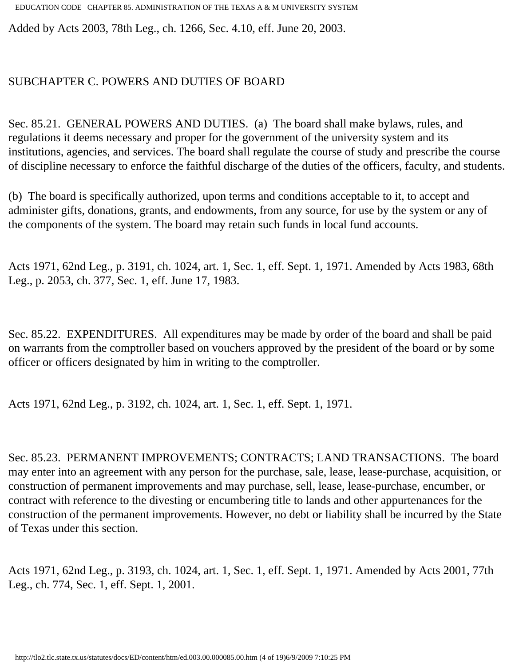Added by Acts 2003, 78th Leg., ch. 1266, Sec. 4.10, eff. June 20, 2003.

## SUBCHAPTER C. POWERS AND DUTIES OF BOARD

Sec. 85.21. GENERAL POWERS AND DUTIES. (a) The board shall make bylaws, rules, and regulations it deems necessary and proper for the government of the university system and its institutions, agencies, and services. The board shall regulate the course of study and prescribe the course of discipline necessary to enforce the faithful discharge of the duties of the officers, faculty, and students.

(b) The board is specifically authorized, upon terms and conditions acceptable to it, to accept and administer gifts, donations, grants, and endowments, from any source, for use by the system or any of the components of the system. The board may retain such funds in local fund accounts.

Acts 1971, 62nd Leg., p. 3191, ch. 1024, art. 1, Sec. 1, eff. Sept. 1, 1971. Amended by Acts 1983, 68th Leg., p. 2053, ch. 377, Sec. 1, eff. June 17, 1983.

Sec. 85.22. EXPENDITURES. All expenditures may be made by order of the board and shall be paid on warrants from the comptroller based on vouchers approved by the president of the board or by some officer or officers designated by him in writing to the comptroller.

Acts 1971, 62nd Leg., p. 3192, ch. 1024, art. 1, Sec. 1, eff. Sept. 1, 1971.

Sec. 85.23. PERMANENT IMPROVEMENTS; CONTRACTS; LAND TRANSACTIONS. The board may enter into an agreement with any person for the purchase, sale, lease, lease-purchase, acquisition, or construction of permanent improvements and may purchase, sell, lease, lease-purchase, encumber, or contract with reference to the divesting or encumbering title to lands and other appurtenances for the construction of the permanent improvements. However, no debt or liability shall be incurred by the State of Texas under this section.

Acts 1971, 62nd Leg., p. 3193, ch. 1024, art. 1, Sec. 1, eff. Sept. 1, 1971. Amended by Acts 2001, 77th Leg., ch. 774, Sec. 1, eff. Sept. 1, 2001.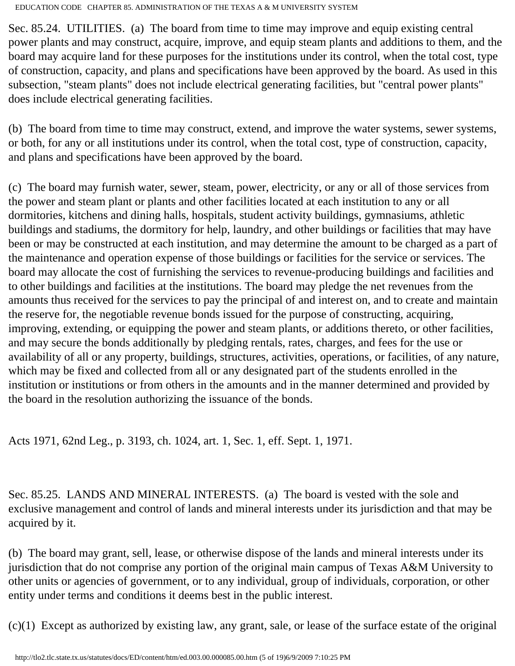Sec. 85.24. UTILITIES. (a) The board from time to time may improve and equip existing central power plants and may construct, acquire, improve, and equip steam plants and additions to them, and the board may acquire land for these purposes for the institutions under its control, when the total cost, type of construction, capacity, and plans and specifications have been approved by the board. As used in this subsection, "steam plants" does not include electrical generating facilities, but "central power plants" does include electrical generating facilities.

(b) The board from time to time may construct, extend, and improve the water systems, sewer systems, or both, for any or all institutions under its control, when the total cost, type of construction, capacity, and plans and specifications have been approved by the board.

(c) The board may furnish water, sewer, steam, power, electricity, or any or all of those services from the power and steam plant or plants and other facilities located at each institution to any or all dormitories, kitchens and dining halls, hospitals, student activity buildings, gymnasiums, athletic buildings and stadiums, the dormitory for help, laundry, and other buildings or facilities that may have been or may be constructed at each institution, and may determine the amount to be charged as a part of the maintenance and operation expense of those buildings or facilities for the service or services. The board may allocate the cost of furnishing the services to revenue-producing buildings and facilities and to other buildings and facilities at the institutions. The board may pledge the net revenues from the amounts thus received for the services to pay the principal of and interest on, and to create and maintain the reserve for, the negotiable revenue bonds issued for the purpose of constructing, acquiring, improving, extending, or equipping the power and steam plants, or additions thereto, or other facilities, and may secure the bonds additionally by pledging rentals, rates, charges, and fees for the use or availability of all or any property, buildings, structures, activities, operations, or facilities, of any nature, which may be fixed and collected from all or any designated part of the students enrolled in the institution or institutions or from others in the amounts and in the manner determined and provided by the board in the resolution authorizing the issuance of the bonds.

Acts 1971, 62nd Leg., p. 3193, ch. 1024, art. 1, Sec. 1, eff. Sept. 1, 1971.

Sec. 85.25. LANDS AND MINERAL INTERESTS. (a) The board is vested with the sole and exclusive management and control of lands and mineral interests under its jurisdiction and that may be acquired by it.

(b) The board may grant, sell, lease, or otherwise dispose of the lands and mineral interests under its jurisdiction that do not comprise any portion of the original main campus of Texas A&M University to other units or agencies of government, or to any individual, group of individuals, corporation, or other entity under terms and conditions it deems best in the public interest.

(c)(1) Except as authorized by existing law, any grant, sale, or lease of the surface estate of the original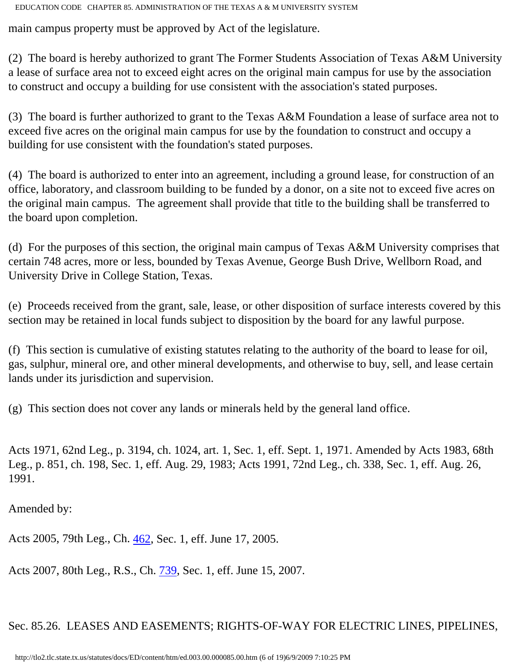main campus property must be approved by Act of the legislature.

(2) The board is hereby authorized to grant The Former Students Association of Texas A&M University a lease of surface area not to exceed eight acres on the original main campus for use by the association to construct and occupy a building for use consistent with the association's stated purposes.

(3) The board is further authorized to grant to the Texas A&M Foundation a lease of surface area not to exceed five acres on the original main campus for use by the foundation to construct and occupy a building for use consistent with the foundation's stated purposes.

(4) The board is authorized to enter into an agreement, including a ground lease, for construction of an office, laboratory, and classroom building to be funded by a donor, on a site not to exceed five acres on the original main campus. The agreement shall provide that title to the building shall be transferred to the board upon completion.

(d) For the purposes of this section, the original main campus of Texas A&M University comprises that certain 748 acres, more or less, bounded by Texas Avenue, George Bush Drive, Wellborn Road, and University Drive in College Station, Texas.

(e) Proceeds received from the grant, sale, lease, or other disposition of surface interests covered by this section may be retained in local funds subject to disposition by the board for any lawful purpose.

(f) This section is cumulative of existing statutes relating to the authority of the board to lease for oil, gas, sulphur, mineral ore, and other mineral developments, and otherwise to buy, sell, and lease certain lands under its jurisdiction and supervision.

(g) This section does not cover any lands or minerals held by the general land office.

Acts 1971, 62nd Leg., p. 3194, ch. 1024, art. 1, Sec. 1, eff. Sept. 1, 1971. Amended by Acts 1983, 68th Leg., p. 851, ch. 198, Sec. 1, eff. Aug. 29, 1983; Acts 1991, 72nd Leg., ch. 338, Sec. 1, eff. Aug. 26, 1991.

Amended by:

Acts 2005, 79th Leg., Ch. [462](http://www.legis.state.tx.us/tlodocs/79R/billtext/html/SB01883F.HTM), Sec. 1, eff. June 17, 2005.

Acts 2007, 80th Leg., R.S., Ch. [739](http://www.legis.state.tx.us/tlodocs/80R/billtext/html/HB02834F.HTM), Sec. 1, eff. June 15, 2007.

Sec. 85.26. LEASES AND EASEMENTS; RIGHTS-OF-WAY FOR ELECTRIC LINES, PIPELINES,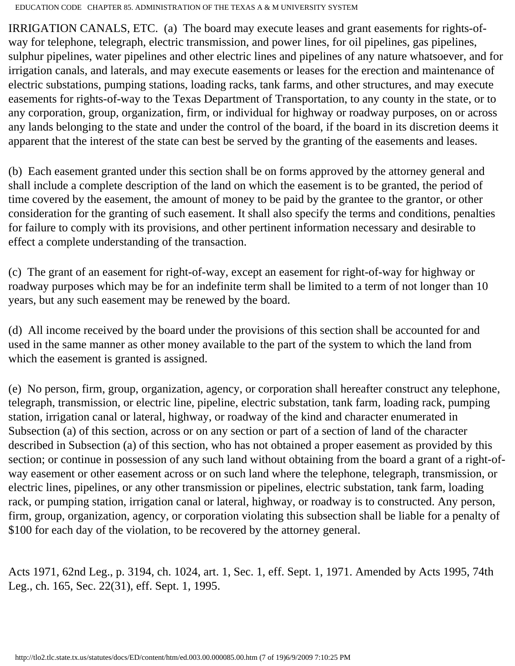IRRIGATION CANALS, ETC. (a) The board may execute leases and grant easements for rights-ofway for telephone, telegraph, electric transmission, and power lines, for oil pipelines, gas pipelines, sulphur pipelines, water pipelines and other electric lines and pipelines of any nature whatsoever, and for irrigation canals, and laterals, and may execute easements or leases for the erection and maintenance of electric substations, pumping stations, loading racks, tank farms, and other structures, and may execute easements for rights-of-way to the Texas Department of Transportation, to any county in the state, or to any corporation, group, organization, firm, or individual for highway or roadway purposes, on or across any lands belonging to the state and under the control of the board, if the board in its discretion deems it apparent that the interest of the state can best be served by the granting of the easements and leases.

(b) Each easement granted under this section shall be on forms approved by the attorney general and shall include a complete description of the land on which the easement is to be granted, the period of time covered by the easement, the amount of money to be paid by the grantee to the grantor, or other consideration for the granting of such easement. It shall also specify the terms and conditions, penalties for failure to comply with its provisions, and other pertinent information necessary and desirable to effect a complete understanding of the transaction.

(c) The grant of an easement for right-of-way, except an easement for right-of-way for highway or roadway purposes which may be for an indefinite term shall be limited to a term of not longer than 10 years, but any such easement may be renewed by the board.

(d) All income received by the board under the provisions of this section shall be accounted for and used in the same manner as other money available to the part of the system to which the land from which the easement is granted is assigned.

(e) No person, firm, group, organization, agency, or corporation shall hereafter construct any telephone, telegraph, transmission, or electric line, pipeline, electric substation, tank farm, loading rack, pumping station, irrigation canal or lateral, highway, or roadway of the kind and character enumerated in Subsection (a) of this section, across or on any section or part of a section of land of the character described in Subsection (a) of this section, who has not obtained a proper easement as provided by this section; or continue in possession of any such land without obtaining from the board a grant of a right-ofway easement or other easement across or on such land where the telephone, telegraph, transmission, or electric lines, pipelines, or any other transmission or pipelines, electric substation, tank farm, loading rack, or pumping station, irrigation canal or lateral, highway, or roadway is to constructed. Any person, firm, group, organization, agency, or corporation violating this subsection shall be liable for a penalty of \$100 for each day of the violation, to be recovered by the attorney general.

Acts 1971, 62nd Leg., p. 3194, ch. 1024, art. 1, Sec. 1, eff. Sept. 1, 1971. Amended by Acts 1995, 74th Leg., ch. 165, Sec. 22(31), eff. Sept. 1, 1995.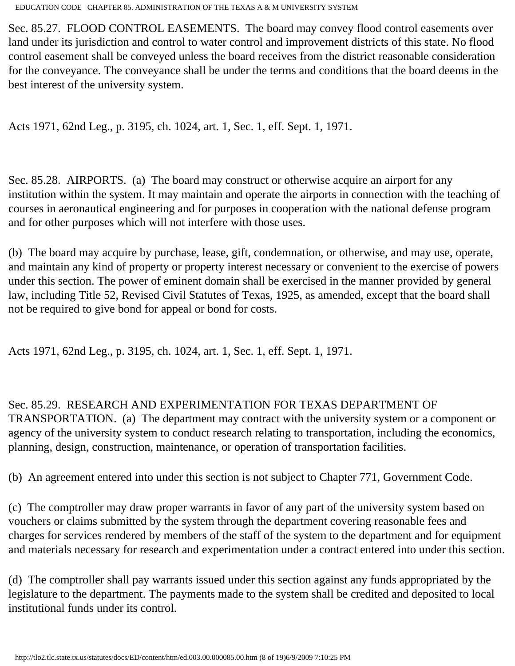Sec. 85.27. FLOOD CONTROL EASEMENTS. The board may convey flood control easements over land under its jurisdiction and control to water control and improvement districts of this state. No flood control easement shall be conveyed unless the board receives from the district reasonable consideration for the conveyance. The conveyance shall be under the terms and conditions that the board deems in the best interest of the university system.

Acts 1971, 62nd Leg., p. 3195, ch. 1024, art. 1, Sec. 1, eff. Sept. 1, 1971.

Sec. 85.28. AIRPORTS. (a) The board may construct or otherwise acquire an airport for any institution within the system. It may maintain and operate the airports in connection with the teaching of courses in aeronautical engineering and for purposes in cooperation with the national defense program and for other purposes which will not interfere with those uses.

(b) The board may acquire by purchase, lease, gift, condemnation, or otherwise, and may use, operate, and maintain any kind of property or property interest necessary or convenient to the exercise of powers under this section. The power of eminent domain shall be exercised in the manner provided by general law, including Title 52, Revised Civil Statutes of Texas, 1925, as amended, except that the board shall not be required to give bond for appeal or bond for costs.

Acts 1971, 62nd Leg., p. 3195, ch. 1024, art. 1, Sec. 1, eff. Sept. 1, 1971.

Sec. 85.29. RESEARCH AND EXPERIMENTATION FOR TEXAS DEPARTMENT OF

TRANSPORTATION. (a) The department may contract with the university system or a component or agency of the university system to conduct research relating to transportation, including the economics, planning, design, construction, maintenance, or operation of transportation facilities.

(b) An agreement entered into under this section is not subject to Chapter 771, Government Code.

(c) The comptroller may draw proper warrants in favor of any part of the university system based on vouchers or claims submitted by the system through the department covering reasonable fees and charges for services rendered by members of the staff of the system to the department and for equipment and materials necessary for research and experimentation under a contract entered into under this section.

(d) The comptroller shall pay warrants issued under this section against any funds appropriated by the legislature to the department. The payments made to the system shall be credited and deposited to local institutional funds under its control.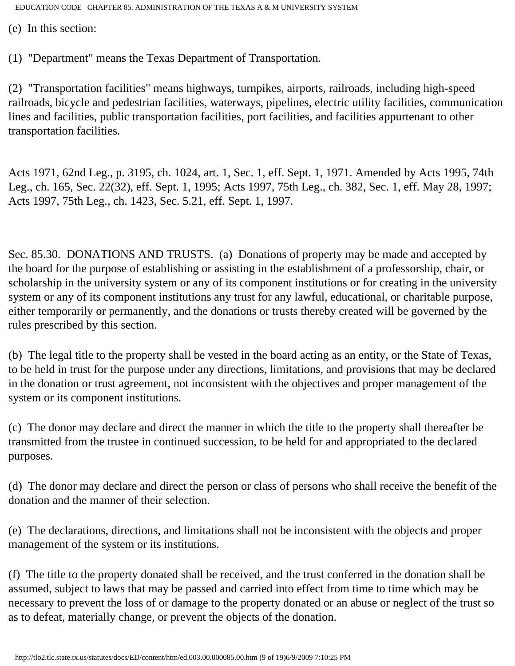(e) In this section:

(1) "Department" means the Texas Department of Transportation.

(2) "Transportation facilities" means highways, turnpikes, airports, railroads, including high-speed railroads, bicycle and pedestrian facilities, waterways, pipelines, electric utility facilities, communication lines and facilities, public transportation facilities, port facilities, and facilities appurtenant to other transportation facilities.

Acts 1971, 62nd Leg., p. 3195, ch. 1024, art. 1, Sec. 1, eff. Sept. 1, 1971. Amended by Acts 1995, 74th Leg., ch. 165, Sec. 22(32), eff. Sept. 1, 1995; Acts 1997, 75th Leg., ch. 382, Sec. 1, eff. May 28, 1997; Acts 1997, 75th Leg., ch. 1423, Sec. 5.21, eff. Sept. 1, 1997.

Sec. 85.30. DONATIONS AND TRUSTS. (a) Donations of property may be made and accepted by the board for the purpose of establishing or assisting in the establishment of a professorship, chair, or scholarship in the university system or any of its component institutions or for creating in the university system or any of its component institutions any trust for any lawful, educational, or charitable purpose, either temporarily or permanently, and the donations or trusts thereby created will be governed by the rules prescribed by this section.

(b) The legal title to the property shall be vested in the board acting as an entity, or the State of Texas, to be held in trust for the purpose under any directions, limitations, and provisions that may be declared in the donation or trust agreement, not inconsistent with the objectives and proper management of the system or its component institutions.

(c) The donor may declare and direct the manner in which the title to the property shall thereafter be transmitted from the trustee in continued succession, to be held for and appropriated to the declared purposes.

(d) The donor may declare and direct the person or class of persons who shall receive the benefit of the donation and the manner of their selection.

(e) The declarations, directions, and limitations shall not be inconsistent with the objects and proper management of the system or its institutions.

(f) The title to the property donated shall be received, and the trust conferred in the donation shall be assumed, subject to laws that may be passed and carried into effect from time to time which may be necessary to prevent the loss of or damage to the property donated or an abuse or neglect of the trust so as to defeat, materially change, or prevent the objects of the donation.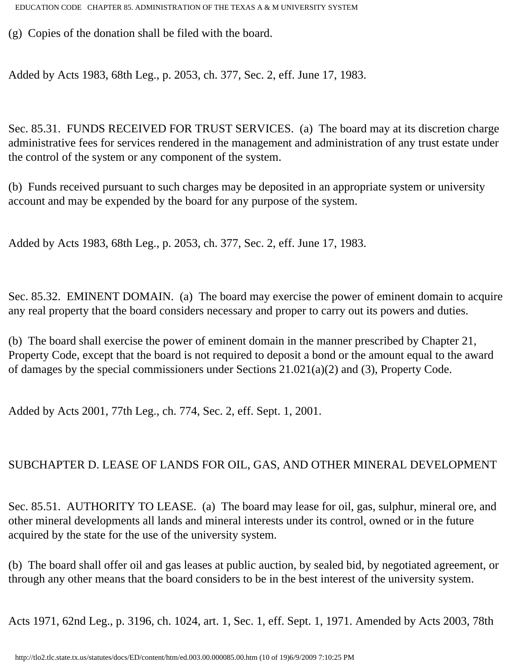(g) Copies of the donation shall be filed with the board.

Added by Acts 1983, 68th Leg., p. 2053, ch. 377, Sec. 2, eff. June 17, 1983.

Sec. 85.31. FUNDS RECEIVED FOR TRUST SERVICES. (a) The board may at its discretion charge administrative fees for services rendered in the management and administration of any trust estate under the control of the system or any component of the system.

(b) Funds received pursuant to such charges may be deposited in an appropriate system or university account and may be expended by the board for any purpose of the system.

Added by Acts 1983, 68th Leg., p. 2053, ch. 377, Sec. 2, eff. June 17, 1983.

Sec. 85.32. EMINENT DOMAIN. (a) The board may exercise the power of eminent domain to acquire any real property that the board considers necessary and proper to carry out its powers and duties.

(b) The board shall exercise the power of eminent domain in the manner prescribed by Chapter 21, Property Code, except that the board is not required to deposit a bond or the amount equal to the award of damages by the special commissioners under Sections 21.021(a)(2) and (3), Property Code.

Added by Acts 2001, 77th Leg., ch. 774, Sec. 2, eff. Sept. 1, 2001.

## SUBCHAPTER D. LEASE OF LANDS FOR OIL, GAS, AND OTHER MINERAL DEVELOPMENT

Sec. 85.51. AUTHORITY TO LEASE. (a) The board may lease for oil, gas, sulphur, mineral ore, and other mineral developments all lands and mineral interests under its control, owned or in the future acquired by the state for the use of the university system.

(b) The board shall offer oil and gas leases at public auction, by sealed bid, by negotiated agreement, or through any other means that the board considers to be in the best interest of the university system.

Acts 1971, 62nd Leg., p. 3196, ch. 1024, art. 1, Sec. 1, eff. Sept. 1, 1971. Amended by Acts 2003, 78th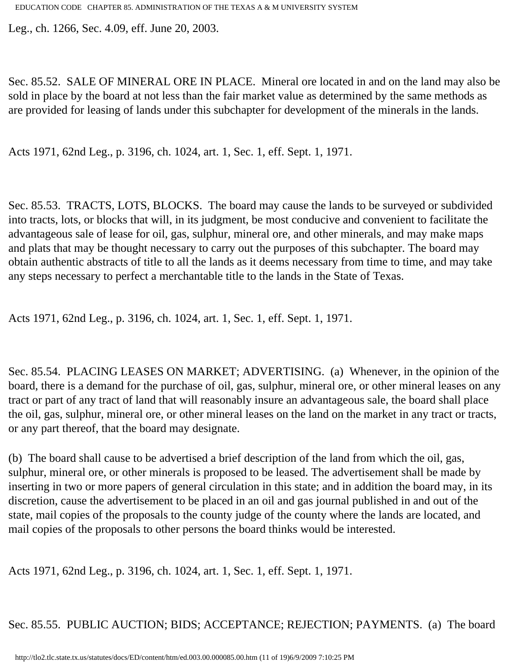Leg., ch. 1266, Sec. 4.09, eff. June 20, 2003.

Sec. 85.52. SALE OF MINERAL ORE IN PLACE. Mineral ore located in and on the land may also be sold in place by the board at not less than the fair market value as determined by the same methods as are provided for leasing of lands under this subchapter for development of the minerals in the lands.

Acts 1971, 62nd Leg., p. 3196, ch. 1024, art. 1, Sec. 1, eff. Sept. 1, 1971.

Sec. 85.53. TRACTS, LOTS, BLOCKS. The board may cause the lands to be surveyed or subdivided into tracts, lots, or blocks that will, in its judgment, be most conducive and convenient to facilitate the advantageous sale of lease for oil, gas, sulphur, mineral ore, and other minerals, and may make maps and plats that may be thought necessary to carry out the purposes of this subchapter. The board may obtain authentic abstracts of title to all the lands as it deems necessary from time to time, and may take any steps necessary to perfect a merchantable title to the lands in the State of Texas.

Acts 1971, 62nd Leg., p. 3196, ch. 1024, art. 1, Sec. 1, eff. Sept. 1, 1971.

Sec. 85.54. PLACING LEASES ON MARKET; ADVERTISING. (a) Whenever, in the opinion of the board, there is a demand for the purchase of oil, gas, sulphur, mineral ore, or other mineral leases on any tract or part of any tract of land that will reasonably insure an advantageous sale, the board shall place the oil, gas, sulphur, mineral ore, or other mineral leases on the land on the market in any tract or tracts, or any part thereof, that the board may designate.

(b) The board shall cause to be advertised a brief description of the land from which the oil, gas, sulphur, mineral ore, or other minerals is proposed to be leased. The advertisement shall be made by inserting in two or more papers of general circulation in this state; and in addition the board may, in its discretion, cause the advertisement to be placed in an oil and gas journal published in and out of the state, mail copies of the proposals to the county judge of the county where the lands are located, and mail copies of the proposals to other persons the board thinks would be interested.

Acts 1971, 62nd Leg., p. 3196, ch. 1024, art. 1, Sec. 1, eff. Sept. 1, 1971.

Sec. 85.55. PUBLIC AUCTION; BIDS; ACCEPTANCE; REJECTION; PAYMENTS. (a) The board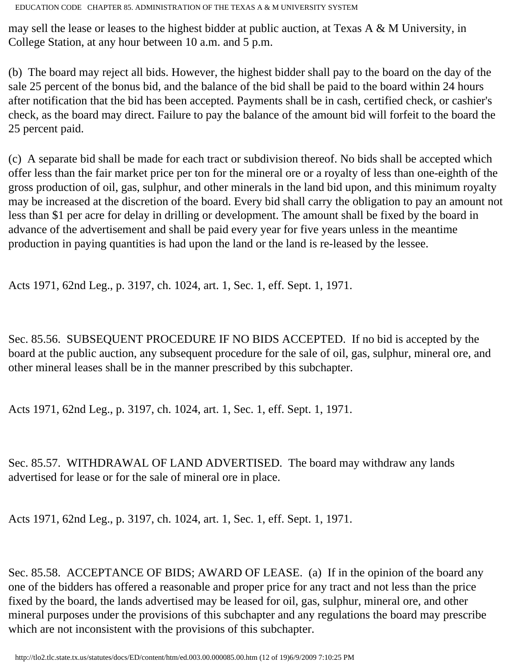may sell the lease or leases to the highest bidder at public auction, at Texas A & M University, in College Station, at any hour between 10 a.m. and 5 p.m.

(b) The board may reject all bids. However, the highest bidder shall pay to the board on the day of the sale 25 percent of the bonus bid, and the balance of the bid shall be paid to the board within 24 hours after notification that the bid has been accepted. Payments shall be in cash, certified check, or cashier's check, as the board may direct. Failure to pay the balance of the amount bid will forfeit to the board the 25 percent paid.

(c) A separate bid shall be made for each tract or subdivision thereof. No bids shall be accepted which offer less than the fair market price per ton for the mineral ore or a royalty of less than one-eighth of the gross production of oil, gas, sulphur, and other minerals in the land bid upon, and this minimum royalty may be increased at the discretion of the board. Every bid shall carry the obligation to pay an amount not less than \$1 per acre for delay in drilling or development. The amount shall be fixed by the board in advance of the advertisement and shall be paid every year for five years unless in the meantime production in paying quantities is had upon the land or the land is re-leased by the lessee.

Acts 1971, 62nd Leg., p. 3197, ch. 1024, art. 1, Sec. 1, eff. Sept. 1, 1971.

Sec. 85.56. SUBSEQUENT PROCEDURE IF NO BIDS ACCEPTED. If no bid is accepted by the board at the public auction, any subsequent procedure for the sale of oil, gas, sulphur, mineral ore, and other mineral leases shall be in the manner prescribed by this subchapter.

Acts 1971, 62nd Leg., p. 3197, ch. 1024, art. 1, Sec. 1, eff. Sept. 1, 1971.

Sec. 85.57. WITHDRAWAL OF LAND ADVERTISED. The board may withdraw any lands advertised for lease or for the sale of mineral ore in place.

Acts 1971, 62nd Leg., p. 3197, ch. 1024, art. 1, Sec. 1, eff. Sept. 1, 1971.

Sec. 85.58. ACCEPTANCE OF BIDS; AWARD OF LEASE. (a) If in the opinion of the board any one of the bidders has offered a reasonable and proper price for any tract and not less than the price fixed by the board, the lands advertised may be leased for oil, gas, sulphur, mineral ore, and other mineral purposes under the provisions of this subchapter and any regulations the board may prescribe which are not inconsistent with the provisions of this subchapter.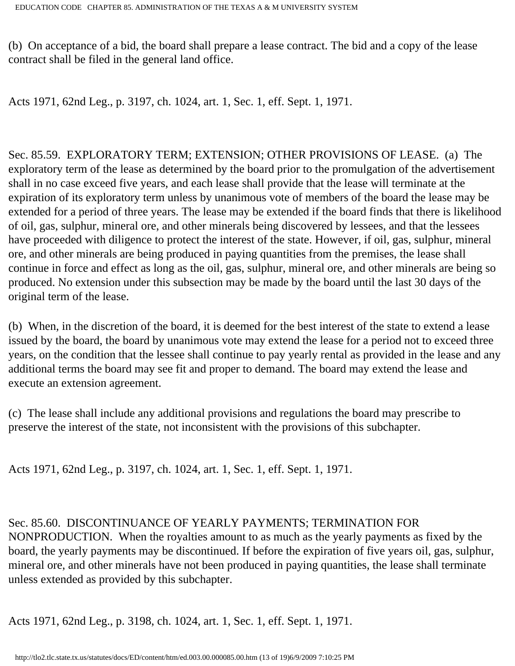(b) On acceptance of a bid, the board shall prepare a lease contract. The bid and a copy of the lease contract shall be filed in the general land office.

Acts 1971, 62nd Leg., p. 3197, ch. 1024, art. 1, Sec. 1, eff. Sept. 1, 1971.

Sec. 85.59. EXPLORATORY TERM; EXTENSION; OTHER PROVISIONS OF LEASE. (a) The exploratory term of the lease as determined by the board prior to the promulgation of the advertisement shall in no case exceed five years, and each lease shall provide that the lease will terminate at the expiration of its exploratory term unless by unanimous vote of members of the board the lease may be extended for a period of three years. The lease may be extended if the board finds that there is likelihood of oil, gas, sulphur, mineral ore, and other minerals being discovered by lessees, and that the lessees have proceeded with diligence to protect the interest of the state. However, if oil, gas, sulphur, mineral ore, and other minerals are being produced in paying quantities from the premises, the lease shall continue in force and effect as long as the oil, gas, sulphur, mineral ore, and other minerals are being so produced. No extension under this subsection may be made by the board until the last 30 days of the original term of the lease.

(b) When, in the discretion of the board, it is deemed for the best interest of the state to extend a lease issued by the board, the board by unanimous vote may extend the lease for a period not to exceed three years, on the condition that the lessee shall continue to pay yearly rental as provided in the lease and any additional terms the board may see fit and proper to demand. The board may extend the lease and execute an extension agreement.

(c) The lease shall include any additional provisions and regulations the board may prescribe to preserve the interest of the state, not inconsistent with the provisions of this subchapter.

Acts 1971, 62nd Leg., p. 3197, ch. 1024, art. 1, Sec. 1, eff. Sept. 1, 1971.

## Sec. 85.60. DISCONTINUANCE OF YEARLY PAYMENTS; TERMINATION FOR

NONPRODUCTION. When the royalties amount to as much as the yearly payments as fixed by the board, the yearly payments may be discontinued. If before the expiration of five years oil, gas, sulphur, mineral ore, and other minerals have not been produced in paying quantities, the lease shall terminate unless extended as provided by this subchapter.

Acts 1971, 62nd Leg., p. 3198, ch. 1024, art. 1, Sec. 1, eff. Sept. 1, 1971.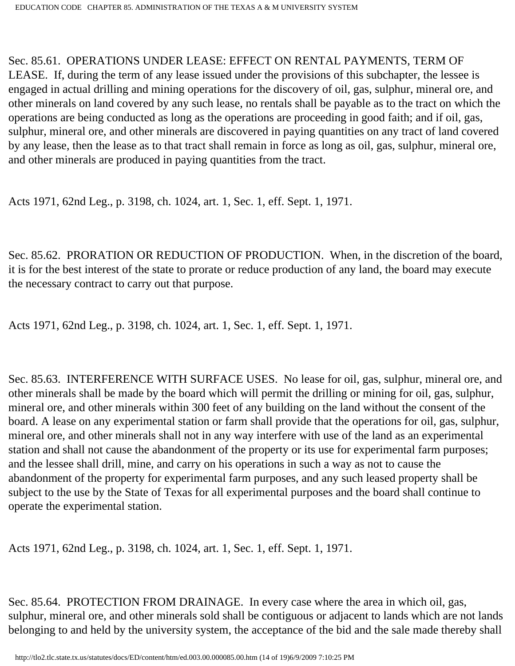# Sec. 85.61. OPERATIONS UNDER LEASE: EFFECT ON RENTAL PAYMENTS, TERM OF

LEASE. If, during the term of any lease issued under the provisions of this subchapter, the lessee is engaged in actual drilling and mining operations for the discovery of oil, gas, sulphur, mineral ore, and other minerals on land covered by any such lease, no rentals shall be payable as to the tract on which the operations are being conducted as long as the operations are proceeding in good faith; and if oil, gas, sulphur, mineral ore, and other minerals are discovered in paying quantities on any tract of land covered by any lease, then the lease as to that tract shall remain in force as long as oil, gas, sulphur, mineral ore, and other minerals are produced in paying quantities from the tract.

Acts 1971, 62nd Leg., p. 3198, ch. 1024, art. 1, Sec. 1, eff. Sept. 1, 1971.

Sec. 85.62. PRORATION OR REDUCTION OF PRODUCTION. When, in the discretion of the board, it is for the best interest of the state to prorate or reduce production of any land, the board may execute the necessary contract to carry out that purpose.

Acts 1971, 62nd Leg., p. 3198, ch. 1024, art. 1, Sec. 1, eff. Sept. 1, 1971.

Sec. 85.63. INTERFERENCE WITH SURFACE USES. No lease for oil, gas, sulphur, mineral ore, and other minerals shall be made by the board which will permit the drilling or mining for oil, gas, sulphur, mineral ore, and other minerals within 300 feet of any building on the land without the consent of the board. A lease on any experimental station or farm shall provide that the operations for oil, gas, sulphur, mineral ore, and other minerals shall not in any way interfere with use of the land as an experimental station and shall not cause the abandonment of the property or its use for experimental farm purposes; and the lessee shall drill, mine, and carry on his operations in such a way as not to cause the abandonment of the property for experimental farm purposes, and any such leased property shall be subject to the use by the State of Texas for all experimental purposes and the board shall continue to operate the experimental station.

Acts 1971, 62nd Leg., p. 3198, ch. 1024, art. 1, Sec. 1, eff. Sept. 1, 1971.

Sec. 85.64. PROTECTION FROM DRAINAGE. In every case where the area in which oil, gas, sulphur, mineral ore, and other minerals sold shall be contiguous or adjacent to lands which are not lands belonging to and held by the university system, the acceptance of the bid and the sale made thereby shall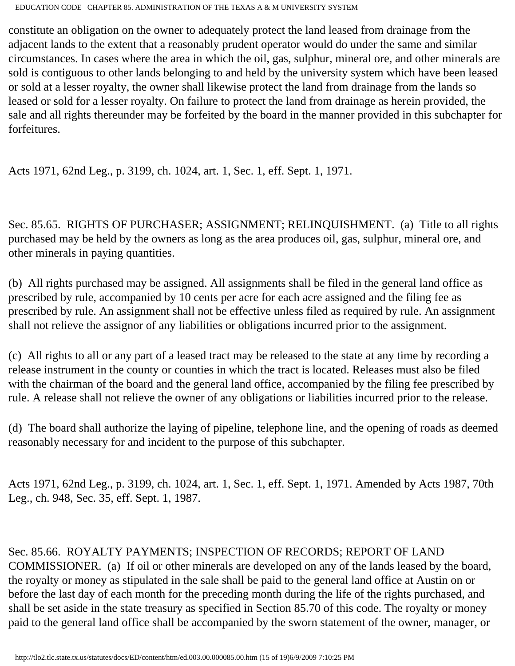constitute an obligation on the owner to adequately protect the land leased from drainage from the adjacent lands to the extent that a reasonably prudent operator would do under the same and similar circumstances. In cases where the area in which the oil, gas, sulphur, mineral ore, and other minerals are sold is contiguous to other lands belonging to and held by the university system which have been leased or sold at a lesser royalty, the owner shall likewise protect the land from drainage from the lands so leased or sold for a lesser royalty. On failure to protect the land from drainage as herein provided, the sale and all rights thereunder may be forfeited by the board in the manner provided in this subchapter for forfeitures.

Acts 1971, 62nd Leg., p. 3199, ch. 1024, art. 1, Sec. 1, eff. Sept. 1, 1971.

Sec. 85.65. RIGHTS OF PURCHASER; ASSIGNMENT; RELINQUISHMENT. (a) Title to all rights purchased may be held by the owners as long as the area produces oil, gas, sulphur, mineral ore, and other minerals in paying quantities.

(b) All rights purchased may be assigned. All assignments shall be filed in the general land office as prescribed by rule, accompanied by 10 cents per acre for each acre assigned and the filing fee as prescribed by rule. An assignment shall not be effective unless filed as required by rule. An assignment shall not relieve the assignor of any liabilities or obligations incurred prior to the assignment.

(c) All rights to all or any part of a leased tract may be released to the state at any time by recording a release instrument in the county or counties in which the tract is located. Releases must also be filed with the chairman of the board and the general land office, accompanied by the filing fee prescribed by rule. A release shall not relieve the owner of any obligations or liabilities incurred prior to the release.

(d) The board shall authorize the laying of pipeline, telephone line, and the opening of roads as deemed reasonably necessary for and incident to the purpose of this subchapter.

Acts 1971, 62nd Leg., p. 3199, ch. 1024, art. 1, Sec. 1, eff. Sept. 1, 1971. Amended by Acts 1987, 70th Leg., ch. 948, Sec. 35, eff. Sept. 1, 1987.

Sec. 85.66. ROYALTY PAYMENTS; INSPECTION OF RECORDS; REPORT OF LAND COMMISSIONER. (a) If oil or other minerals are developed on any of the lands leased by the board, the royalty or money as stipulated in the sale shall be paid to the general land office at Austin on or before the last day of each month for the preceding month during the life of the rights purchased, and shall be set aside in the state treasury as specified in Section 85.70 of this code. The royalty or money paid to the general land office shall be accompanied by the sworn statement of the owner, manager, or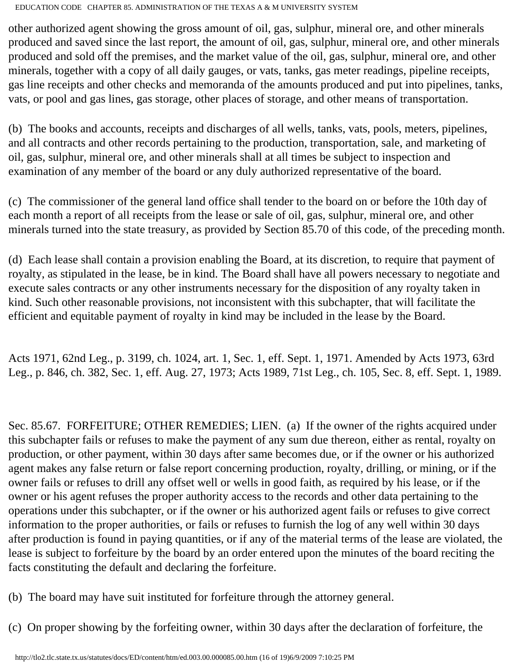other authorized agent showing the gross amount of oil, gas, sulphur, mineral ore, and other minerals produced and saved since the last report, the amount of oil, gas, sulphur, mineral ore, and other minerals produced and sold off the premises, and the market value of the oil, gas, sulphur, mineral ore, and other minerals, together with a copy of all daily gauges, or vats, tanks, gas meter readings, pipeline receipts, gas line receipts and other checks and memoranda of the amounts produced and put into pipelines, tanks, vats, or pool and gas lines, gas storage, other places of storage, and other means of transportation.

(b) The books and accounts, receipts and discharges of all wells, tanks, vats, pools, meters, pipelines, and all contracts and other records pertaining to the production, transportation, sale, and marketing of oil, gas, sulphur, mineral ore, and other minerals shall at all times be subject to inspection and examination of any member of the board or any duly authorized representative of the board.

(c) The commissioner of the general land office shall tender to the board on or before the 10th day of each month a report of all receipts from the lease or sale of oil, gas, sulphur, mineral ore, and other minerals turned into the state treasury, as provided by Section 85.70 of this code, of the preceding month.

(d) Each lease shall contain a provision enabling the Board, at its discretion, to require that payment of royalty, as stipulated in the lease, be in kind. The Board shall have all powers necessary to negotiate and execute sales contracts or any other instruments necessary for the disposition of any royalty taken in kind. Such other reasonable provisions, not inconsistent with this subchapter, that will facilitate the efficient and equitable payment of royalty in kind may be included in the lease by the Board.

Acts 1971, 62nd Leg., p. 3199, ch. 1024, art. 1, Sec. 1, eff. Sept. 1, 1971. Amended by Acts 1973, 63rd Leg., p. 846, ch. 382, Sec. 1, eff. Aug. 27, 1973; Acts 1989, 71st Leg., ch. 105, Sec. 8, eff. Sept. 1, 1989.

Sec. 85.67. FORFEITURE; OTHER REMEDIES; LIEN. (a) If the owner of the rights acquired under this subchapter fails or refuses to make the payment of any sum due thereon, either as rental, royalty on production, or other payment, within 30 days after same becomes due, or if the owner or his authorized agent makes any false return or false report concerning production, royalty, drilling, or mining, or if the owner fails or refuses to drill any offset well or wells in good faith, as required by his lease, or if the owner or his agent refuses the proper authority access to the records and other data pertaining to the operations under this subchapter, or if the owner or his authorized agent fails or refuses to give correct information to the proper authorities, or fails or refuses to furnish the log of any well within 30 days after production is found in paying quantities, or if any of the material terms of the lease are violated, the lease is subject to forfeiture by the board by an order entered upon the minutes of the board reciting the facts constituting the default and declaring the forfeiture.

- (b) The board may have suit instituted for forfeiture through the attorney general.
- (c) On proper showing by the forfeiting owner, within 30 days after the declaration of forfeiture, the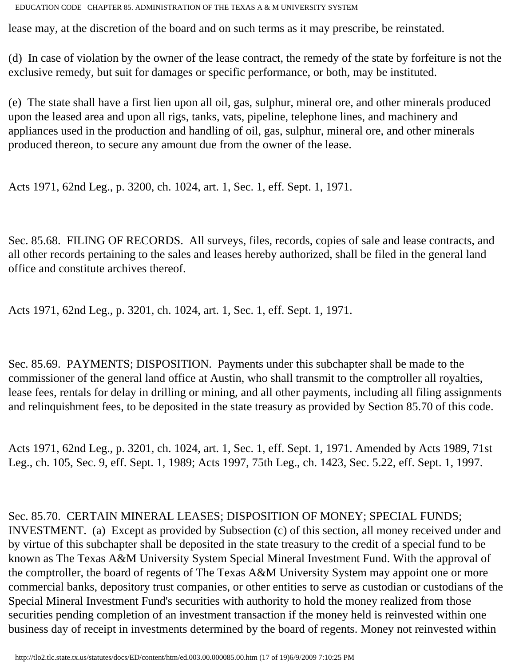lease may, at the discretion of the board and on such terms as it may prescribe, be reinstated.

(d) In case of violation by the owner of the lease contract, the remedy of the state by forfeiture is not the exclusive remedy, but suit for damages or specific performance, or both, may be instituted.

(e) The state shall have a first lien upon all oil, gas, sulphur, mineral ore, and other minerals produced upon the leased area and upon all rigs, tanks, vats, pipeline, telephone lines, and machinery and appliances used in the production and handling of oil, gas, sulphur, mineral ore, and other minerals produced thereon, to secure any amount due from the owner of the lease.

Acts 1971, 62nd Leg., p. 3200, ch. 1024, art. 1, Sec. 1, eff. Sept. 1, 1971.

Sec. 85.68. FILING OF RECORDS. All surveys, files, records, copies of sale and lease contracts, and all other records pertaining to the sales and leases hereby authorized, shall be filed in the general land office and constitute archives thereof.

Acts 1971, 62nd Leg., p. 3201, ch. 1024, art. 1, Sec. 1, eff. Sept. 1, 1971.

Sec. 85.69. PAYMENTS; DISPOSITION. Payments under this subchapter shall be made to the commissioner of the general land office at Austin, who shall transmit to the comptroller all royalties, lease fees, rentals for delay in drilling or mining, and all other payments, including all filing assignments and relinquishment fees, to be deposited in the state treasury as provided by Section 85.70 of this code.

Acts 1971, 62nd Leg., p. 3201, ch. 1024, art. 1, Sec. 1, eff. Sept. 1, 1971. Amended by Acts 1989, 71st Leg., ch. 105, Sec. 9, eff. Sept. 1, 1989; Acts 1997, 75th Leg., ch. 1423, Sec. 5.22, eff. Sept. 1, 1997.

Sec. 85.70. CERTAIN MINERAL LEASES; DISPOSITION OF MONEY; SPECIAL FUNDS; INVESTMENT. (a) Except as provided by Subsection (c) of this section, all money received under and by virtue of this subchapter shall be deposited in the state treasury to the credit of a special fund to be known as The Texas A&M University System Special Mineral Investment Fund. With the approval of the comptroller, the board of regents of The Texas A&M University System may appoint one or more commercial banks, depository trust companies, or other entities to serve as custodian or custodians of the Special Mineral Investment Fund's securities with authority to hold the money realized from those securities pending completion of an investment transaction if the money held is reinvested within one business day of receipt in investments determined by the board of regents. Money not reinvested within